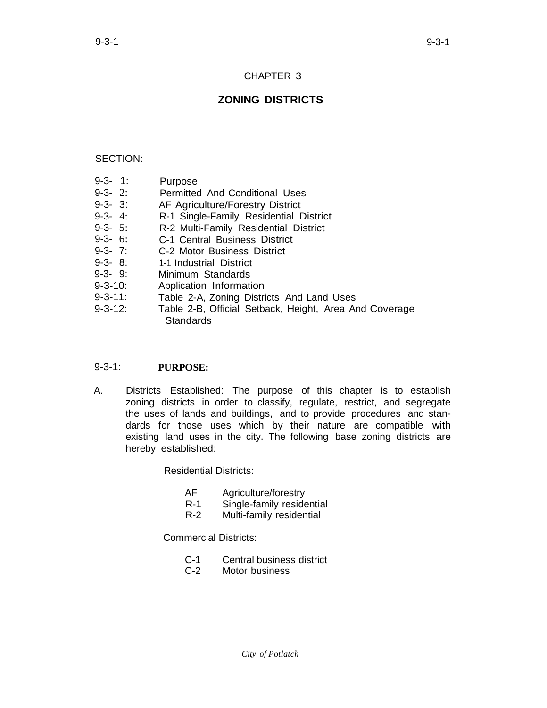# CHAPTER 3

# **ZONING DISTRICTS**

## SECTION:

- 9-3- 1: Purpose
- 9-3- 2: Permitted And Conditional Uses
- 9-3- 3: AF Agriculture/Forestry District
- 9-3- 4: R-1 Single-Family Residential District
- 9-3- 5: R-2 Multi-Family Residential District
- 9-3- 6: C-1 Central Business District
- 9-3- 7: C-2 Motor Business District
- 9-3- 8: 1-1 Industrial District
- 9-3- 9: Minimum Standards
- 9-3-10: Application Information
- 9-3-11: Table 2-A, Zoning Districts And Land Uses
- 9-3-12: Table 2-B, Official Setback, Height, Area And Coverage **Standards**

#### 9-3-1: **PURPOSE:**

A. Districts Established: The purpose of this chapter is to establish zoning districts in order to classify, regulate, restrict, and segregate the uses of lands and buildings, and to provide procedures and standards for those uses which by their nature are compatible with existing land uses in the city. The following base zoning districts are hereby established:

Residential Districts:

- AF Agriculture/forestry<br>R-1 Single-family reside
- Single-family residential
- R-2 Multi-family residential

Commercial Districts:

- C-1 Central business district<br>C-2 Motor business
- Motor business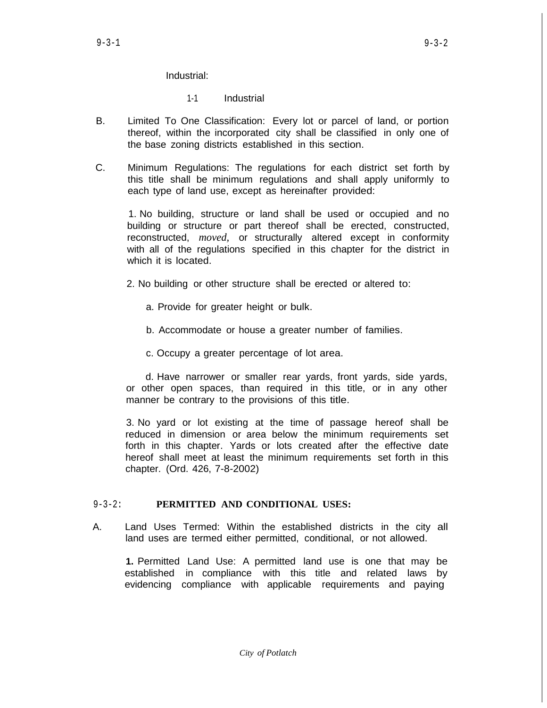Industrial:

1-1 Industrial

- B. Limited To One Classification: Every lot or parcel of land, or portion thereof, within the incorporated city shall be classified in only one of the base zoning districts established in this section.
- C. Minimum Regulations: The regulations for each district set forth by this title shall be minimum regulations and shall apply uniformly to each type of land use, except as hereinafter provided:

1. No building, structure or land shall be used or occupied and no building or structure or part thereof shall be erected, constructed, reconstructed, *moved,* or structurally altered except in conformity with all of the regulations specified in this chapter for the district in which it is located.

2. No building or other structure shall be erected or altered to:

- a. Provide for greater height or bulk.
- b. Accommodate or house a greater number of families.
- c. Occupy a greater percentage of lot area.

d. Have narrower or smaller rear yards, front yards, side yards, or other open spaces, than required in this title, or in any other manner be contrary to the provisions of this title.

3. No yard or lot existing at the time of passage hereof shall be reduced in dimension or area below the minimum requirements set forth in this chapter. Yards or lots created after the effective date hereof shall meet at least the minimum requirements set forth in this chapter. (Ord. 426, 7-8-2002)

## 9-3-2: **PERMITTED AND CONDITIONAL USES:**

A. Land Uses Termed: Within the established districts in the city all land uses are termed either permitted, conditional, or not allowed.

**1.** Permitted Land Use: A permitted land use is one that may be established in compliance with this title and related laws by evidencing compliance with applicable requirements and paying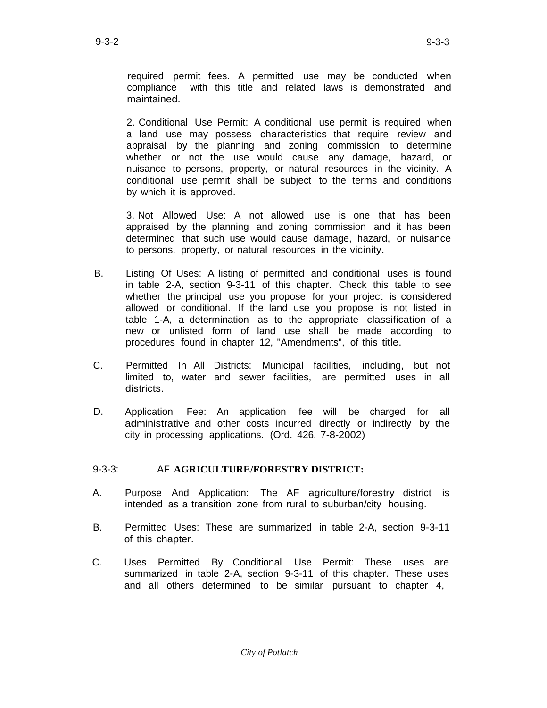required permit fees. A permitted use may be conducted when compliance with this title and related laws is demonstrated and maintained.

2. Conditional Use Permit: A conditional use permit is required when a land use may possess characteristics that require review and appraisal by the planning and zoning commission to determine whether or not the use would cause any damage, hazard, or nuisance to persons, property, or natural resources in the vicinity. A conditional use permit shall be subject to the terms and conditions by which it is approved.

3. Not Allowed Use: A not allowed use is one that has been appraised by the planning and zoning commission and it has been determined that such use would cause damage, hazard, or nuisance to persons, property, or natural resources in the vicinity.

- B. Listing Of Uses: A listing of permitted and conditional uses is found in table 2-A, section 9-3-11 of this chapter. Check this table to see whether the principal use you propose for your project is considered allowed or conditional. If the land use you propose is not listed in table 1-A, a determination as to the appropriate classification of a new or unlisted form of land use shall be made according to procedures found in chapter 12, "Amendments", of this title.
- C. Permitted In All Districts: Municipal facilities, including, but not limited to, water and sewer facilities, are permitted uses in all districts.
- D. Application Fee: An application fee will be charged for all administrative and other costs incurred directly or indirectly by the city in processing applications. (Ord. 426, 7-8-2002)

# 9-3-3: AF **AGRICULTURE/FORESTRY DISTRICT:**

- A. Purpose And Application: The AF agriculture/forestry district is intended as a transition zone from rural to suburban/city housing.
- B. Permitted Uses: These are summarized in table 2-A, section 9-3-11 of this chapter.
- C. Uses Permitted By Conditional Use Permit: These uses are summarized in table 2-A, section 9-3-11 of this chapter. These uses and all others determined to be similar pursuant to chapter 4,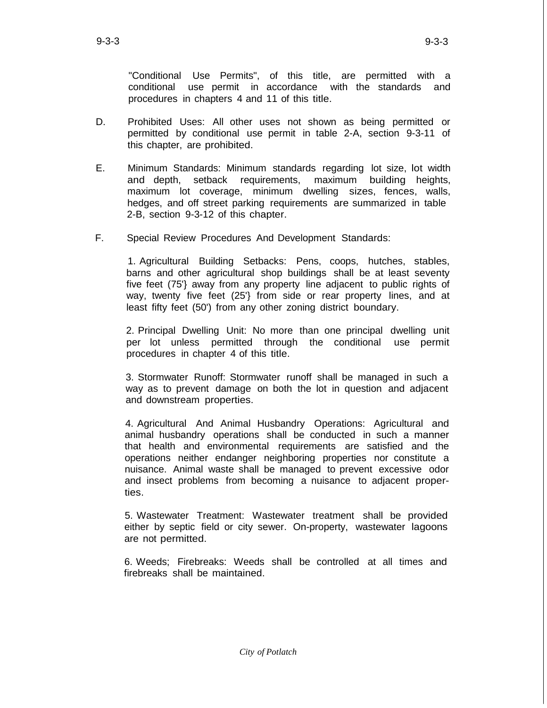"Conditional Use Permits", of this title, are permitted with a conditional use permit in accordance with the standards and procedures in chapters 4 and 11 of this title.

- D. Prohibited Uses: All other uses not shown as being permitted or permitted by conditional use permit in table 2-A, section 9-3-11 of this chapter, are prohibited.
- E. Minimum Standards: Minimum standards regarding lot size, lot width and depth, setback requirements, maximum building heights, maximum lot coverage, minimum dwelling sizes, fences, walls, hedges, and off street parking requirements are summarized in table 2-B, section 9-3-12 of this chapter.
- F. Special Review Procedures And Development Standards:

1. Agricultural Building Setbacks: Pens, coops, hutches, stables, barns and other agricultural shop buildings shall be at least seventy five feet (75'} away from any property line adjacent to public rights of way, twenty five feet (25'} from side or rear property lines, and at least fifty feet (50') from any other zoning district boundary.

2. Principal Dwelling Unit: No more than one principal dwelling unit per lot unless permitted through the conditional use permit procedures in chapter 4 of this title.

3. Stormwater Runoff: Stormwater runoff shall be managed in such a way as to prevent damage on both the lot in question and adjacent and downstream properties.

4. Agricultural And Animal Husbandry Operations: Agricultural and animal husbandry operations shall be conducted in such a manner that health and environmental requirements are satisfied and the operations neither endanger neighboring properties nor constitute a nuisance. Animal waste shall be managed to prevent excessive odor and insect problems from becoming a nuisance to adjacent properties.

5. Wastewater Treatment: Wastewater treatment shall be provided either by septic field or city sewer. On-property, wastewater lagoons are not permitted.

6. Weeds; Firebreaks: Weeds shall be controlled at all times and firebreaks shall be maintained.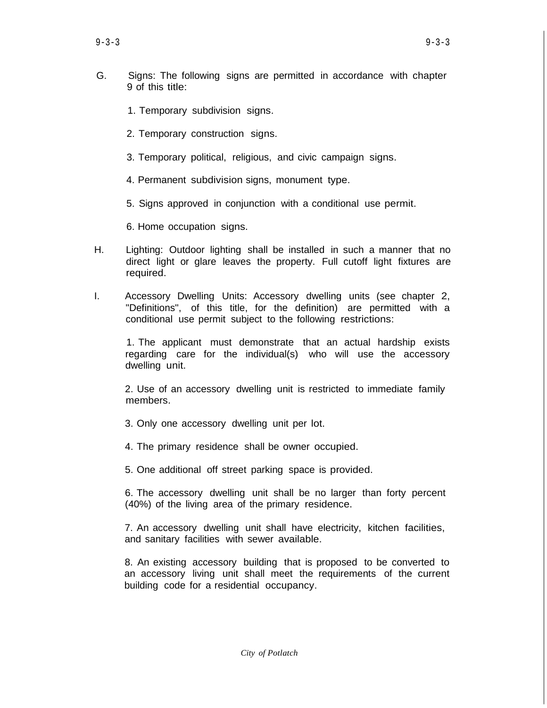- G. Signs: The following signs are permitted in accordance with chapter 9 of this title:
	- 1. Temporary subdivision signs.
	- 2. Temporary construction signs.
	- 3. Temporary political, religious, and civic campaign signs.
	- 4. Permanent subdivision signs, monument type.
	- 5. Signs approved in conjunction with a conditional use permit.
	- 6. Home occupation signs.
- H. Lighting: Outdoor lighting shall be installed in such a manner that no direct light or glare leaves the property. Full cutoff light fixtures are required.
- I. Accessory Dwelling Units: Accessory dwelling units (see chapter 2, "Definitions", of this title, for the definition) are permitted with a conditional use permit subject to the following restrictions:

1. The applicant must demonstrate that an actual hardship exists regarding care for the individual(s) who will use the accessory dwelling unit.

2. Use of an accessory dwelling unit is restricted to immediate family members.

- 3. Only one accessory dwelling unit per lot.
- 4. The primary residence shall be owner occupied.
- 5. One additional off street parking space is provided.

6. The accessory dwelling unit shall be no larger than forty percent (40%) of the living area of the primary residence.

7. An accessory dwelling unit shall have electricity, kitchen facilities, and sanitary facilities with sewer available.

8. An existing accessory building that is proposed to be converted to an accessory living unit shall meet the requirements of the current building code for a residential occupancy.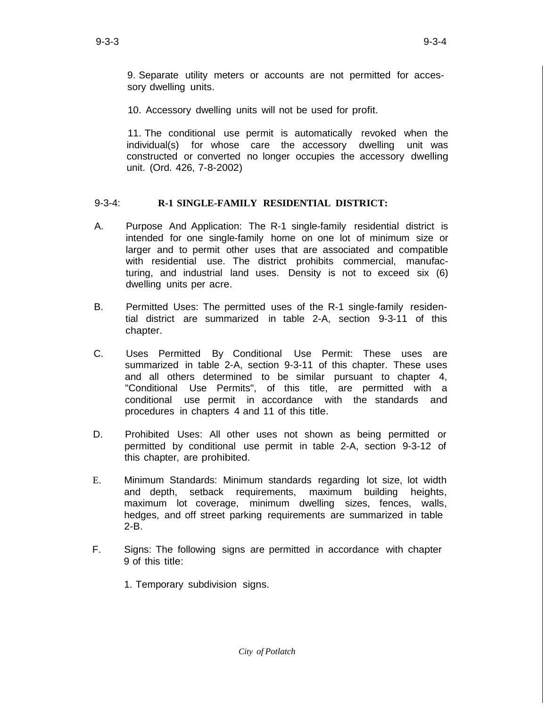9. Separate utility meters or accounts are not permitted for accessory dwelling units.

10. Accessory dwelling units will not be used for profit.

11. The conditional use permit is automatically revoked when the individual(s) for whose care the accessory dwelling unit was constructed or converted no longer occupies the accessory dwelling unit. (Ord. 426, 7-8-2002)

#### 9-3-4: **R-1 SINGLE-FAMILY RESIDENTIAL DISTRICT:**

- A. Purpose And Application: The R-1 single-family residential district is intended for one single-family home on one lot of minimum size or larger and to permit other uses that are associated and compatible with residential use. The district prohibits commercial, manufacturing, and industrial land uses. Density is not to exceed six (6) dwelling units per acre.
- B. Permitted Uses: The permitted uses of the R-1 single-family residential district are summarized in table 2-A, section 9-3-11 of this chapter.
- C. Uses Permitted By Conditional Use Permit: These uses are summarized in table 2-A, section 9-3-11 of this chapter. These uses and all others determined to be similar pursuant to chapter 4, "Conditional Use Permits", of this title, are permitted with a conditional use permit in accordance with the standards and procedures in chapters 4 and 11 of this title.
- D. Prohibited Uses: All other uses not shown as being permitted or permitted by conditional use permit in table 2-A, section 9-3-12 of this chapter, are prohibited.
- E. Minimum Standards: Minimum standards regarding lot size, lot width and depth, setback requirements, maximum building heights, maximum lot coverage, minimum dwelling sizes, fences, walls, hedges, and off street parking requirements are summarized in table 2-B.
- F. Signs: The following signs are permitted in accordance with chapter 9 of this title:
	- 1. Temporary subdivision signs.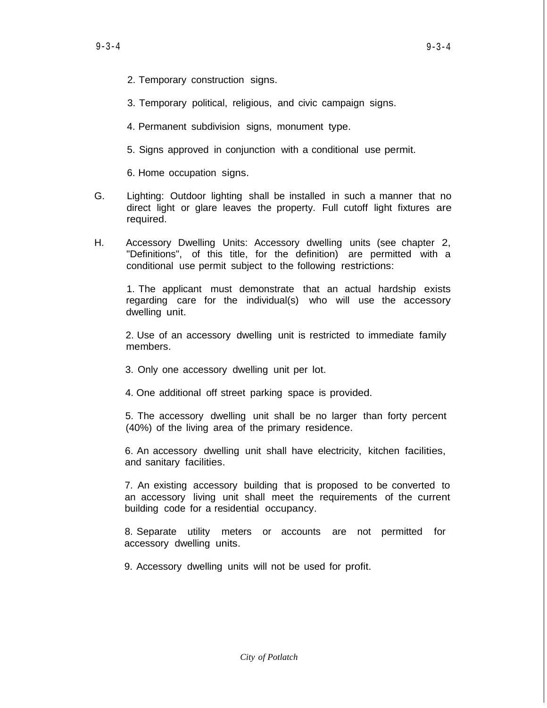- 2. Temporary construction signs.
- 3. Temporary political, religious, and civic campaign signs.
- 4. Permanent subdivision signs, monument type.
- 5. Signs approved in conjunction with a conditional use permit.

6. Home occupation signs.

- G. Lighting: Outdoor lighting shall be installed in such a manner that no direct light or glare leaves the property. Full cutoff light fixtures are required.
- H. Accessory Dwelling Units: Accessory dwelling units (see chapter 2, "Definitions", of this title, for the definition) are permitted with a conditional use permit subject to the following restrictions:

1. The applicant must demonstrate that an actual hardship exists regarding care for the individual(s) who will use the accessory dwelling unit.

2. Use of an accessory dwelling unit is restricted to immediate family members.

- 3. Only one accessory dwelling unit per lot.
- 4. One additional off street parking space is provided.

5. The accessory dwelling unit shall be no larger than forty percent (40%) of the living area of the primary residence.

6. An accessory dwelling unit shall have electricity, kitchen facilities, and sanitary facilities.

7. An existing accessory building that is proposed to be converted to an accessory living unit shall meet the requirements of the current building code for a residential occupancy.

8. Separate utility meters or accounts are not permitted for accessory dwelling units.

9. Accessory dwelling units will not be used for profit.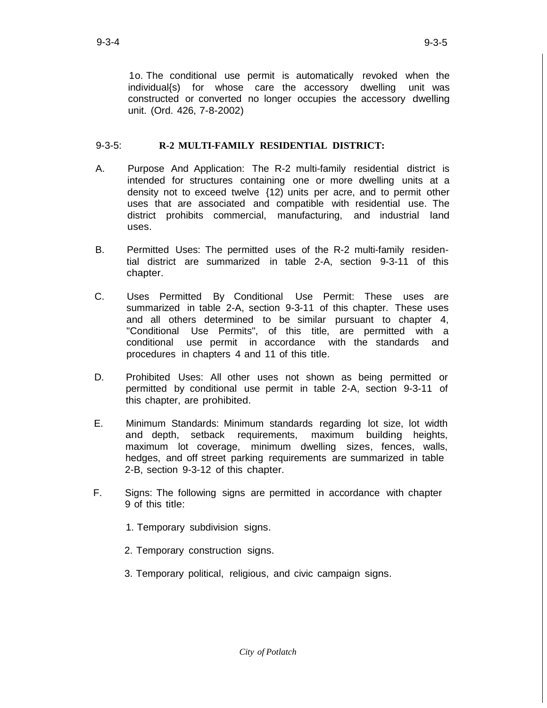1o. The conditional use permit is automatically revoked when the individual{s) for whose care the accessory dwelling unit was constructed or converted no longer occupies the accessory dwelling unit. (Ord. 426, 7-8-2002)

# 9-3-5: **R-2 MULTI-FAMILY RESIDENTIAL DISTRICT:**

- A. Purpose And Application: The R-2 multi-family residential district is intended for structures containing one or more dwelling units at a density not to exceed twelve {12) units per acre, and to permit other uses that are associated and compatible with residential use. The district prohibits commercial, manufacturing, and industrial land uses.
- B. Permitted Uses: The permitted uses of the R-2 multi-family residential district are summarized in table 2-A, section 9-3-11 of this chapter.
- C. Uses Permitted By Conditional Use Permit: These uses are summarized in table 2-A, section 9-3-11 of this chapter. These uses and all others determined to be similar pursuant to chapter 4, "Conditional Use Permits", of this title, are permitted with a conditional use permit in accordance with the standards and procedures in chapters 4 and 11 of this title.
- D. Prohibited Uses: All other uses not shown as being permitted or permitted by conditional use permit in table 2-A, section 9-3-11 of this chapter, are prohibited.
- E. Minimum Standards: Minimum standards regarding lot size, lot width and depth, setback requirements, maximum building heights, maximum lot coverage, minimum dwelling sizes, fences, walls, hedges, and off street parking requirements are summarized in table 2-B, section 9-3-12 of this chapter.
- F. Signs: The following signs are permitted in accordance with chapter 9 of this title:
	- 1. Temporary subdivision signs.
	- 2. Temporary construction signs.
	- 3. Temporary political, religious, and civic campaign signs.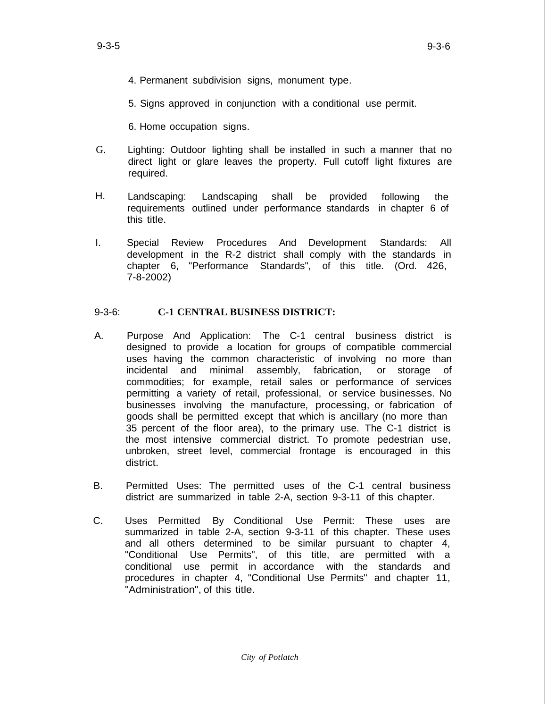- 9-3-5 9-3-6
	- 4. Permanent subdivision signs, monument type.

5. Signs approved in conjunction with a conditional use permit.

- 6. Home occupation signs.
- G. Lighting: Outdoor lighting shall be installed in such a manner that no direct light or glare leaves the property. Full cutoff light fixtures are required.
- H. Landscaping: Landscaping shall be provided requirements outlined under performance standards in chapter 6 of this title. following the
- I. Special Review Procedures And Development Standards: All development in the R-2 district shall comply with the standards in chapter 6, "Performance Standards", of this title. (Ord. 426, 7-8-2002)

# 9-3-6: **C-1 CENTRAL BUSINESS DISTRICT:**

- A. Purpose And Application: The C-1 central business district is designed to provide a location for groups of compatible commercial uses having the common characteristic of involving no more than incidental and minimal assembly, fabrication, or storage of commodities; for example, retail sales or performance of services permitting a variety of retail, professional, or service businesses. No businesses involving the manufacture, processing, or fabrication of goods shall be permitted except that which is ancillary (no more than 35 percent of the floor area), to the primary use. The C-1 district is the most intensive commercial district. To promote pedestrian use, unbroken, street level, commercial frontage is encouraged in this district.
- B. Permitted Uses: The permitted uses of the C-1 central business district are summarized in table 2-A, section 9-3-11 of this chapter.
- C. Uses Permitted By Conditional Use Permit: These uses are summarized in table 2-A, section 9-3-11 of this chapter. These uses and all others determined to be similar pursuant to chapter 4, "Conditional Use Permits", of this title, are permitted with a conditional use permit in accordance with the standards and procedures in chapter 4, "Conditional Use Permits" and chapter 11, "Administration", of this title.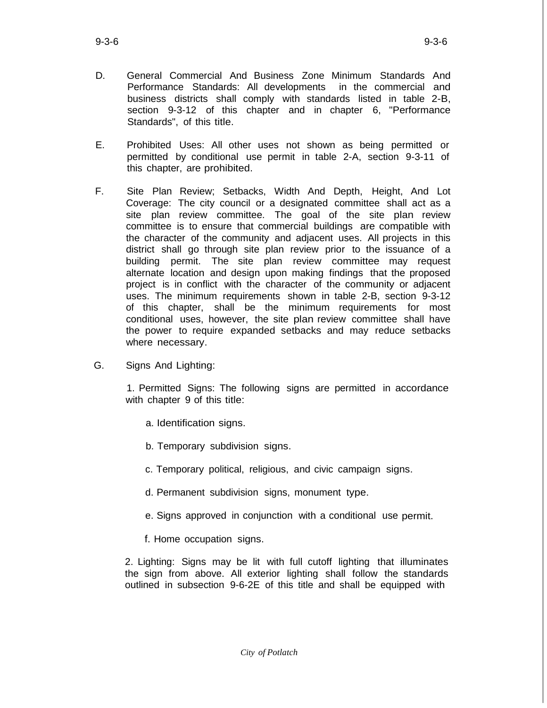- D. General Commercial And Business Zone Minimum Standards And Performance Standards: All developments in the commercial and business districts shall comply with standards listed in table 2-B, section 9-3-12 of this chapter and in chapter 6, "Performance Standards", of this title.
- E. Prohibited Uses: All other uses not shown as being permitted or permitted by conditional use permit in table 2-A, section 9-3-11 of this chapter, are prohibited.
- F. Site Plan Review; Setbacks, Width And Depth, Height, And Lot Coverage: The city council or a designated committee shall act as a site plan review committee. The goal of the site plan review committee is to ensure that commercial buildings are compatible with the character of the community and adjacent uses. All projects in this district shall go through site plan review prior to the issuance of a building permit. The site plan review committee may request alternate location and design upon making findings that the proposed project is in conflict with the character of the community or adjacent uses. The minimum requirements shown in table 2-B, section 9-3-12 of this chapter, shall be the minimum requirements for most conditional uses, however, the site plan review committee shall have the power to require expanded setbacks and may reduce setbacks where necessary.
- G. Signs And Lighting:

1. Permitted Signs: The following signs are permitted in accordance with chapter 9 of this title:

- a. Identification signs.
- b. Temporary subdivision signs.
- c. Temporary political, religious, and civic campaign signs.
- d. Permanent subdivision signs, monument type.
- e. Signs approved in conjunction with a conditional use permit.
- f. Home occupation signs.

2. Lighting: Signs may be lit with full cutoff lighting that illuminates the sign from above. All exterior lighting shall follow the standards outlined in subsection 9-6-2E of this title and shall be equipped with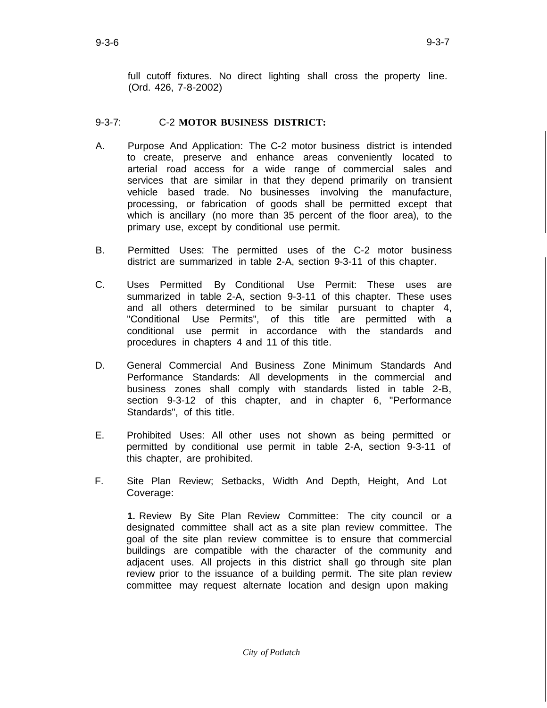full cutoff fixtures. No direct lighting shall cross the property line. (Ord. 426, 7-8-2002)

# 9-3-7: C-2 **MOTOR BUSINESS DISTRICT:**

- A. Purpose And Application: The C-2 motor business district is intended to create, preserve and enhance areas conveniently located to arterial road access for a wide range of commercial sales and services that are similar in that they depend primarily on transient vehicle based trade. No businesses involving the manufacture, processing, or fabrication of goods shall be permitted except that which is ancillary (no more than 35 percent of the floor area), to the primary use, except by conditional use permit.
- B. Permitted Uses: The permitted uses of the C-2 motor business district are summarized in table 2-A, section 9-3-11 of this chapter.
- C. Uses Permitted By Conditional Use Permit: These uses are summarized in table 2-A, section 9-3-11 of this chapter. These uses and all others determined to be similar pursuant to chapter 4, "Conditional Use Permits", of this title are permitted with a conditional use permit in accordance with the standards and procedures in chapters 4 and 11 of this title.
- D. General Commercial And Business Zone Minimum Standards And Performance Standards: All developments in the commercial and business zones shall comply with standards listed in table 2-B, section 9-3-12 of this chapter, and in chapter 6, "Performance Standards", of this title.
- E. Prohibited Uses: All other uses not shown as being permitted or permitted by conditional use permit in table 2-A, section 9-3-11 of this chapter, are prohibited.
- F. Site Plan Review; Setbacks, Width And Depth, Height, And Lot Coverage:

**1.** Review By Site Plan Review Committee: The city council or a designated committee shall act as a site plan review committee. The goal of the site plan review committee is to ensure that commercial buildings are compatible with the character of the community and adjacent uses. All projects in this district shall go through site plan review prior to the issuance of a building permit. The site plan review committee may request alternate location and design upon making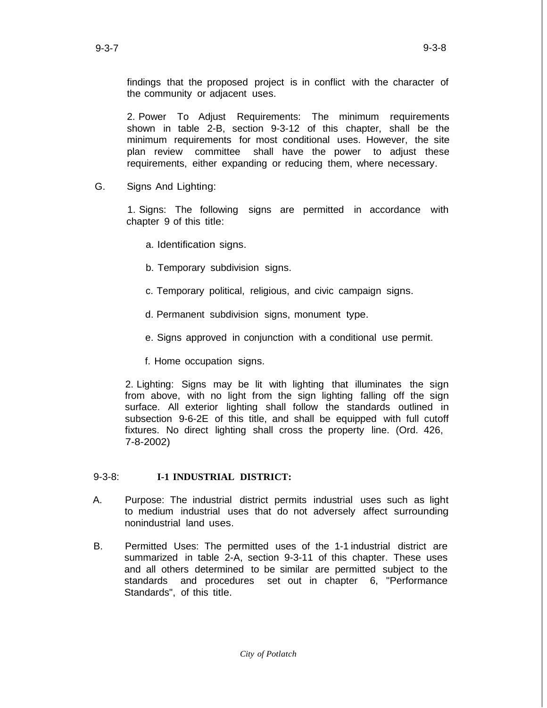findings that the proposed project is in conflict with the character of the community or adjacent uses.

2. Power To Adjust Requirements: The minimum requirements shown in table 2-B, section 9-3-12 of this chapter, shall be the minimum requirements for most conditional uses. However, the site plan review committee shall have the power to adjust these requirements, either expanding or reducing them, where necessary.

G. Signs And Lighting:

1. Signs: The following signs are permitted in accordance with chapter 9 of this title:

- a. Identification signs.
- b. Temporary subdivision signs.
- c. Temporary political, religious, and civic campaign signs.
- d. Permanent subdivision signs, monument type.
- e. Signs approved in conjunction with a conditional use permit.
- f. Home occupation signs.

2. Lighting: Signs may be lit with lighting that illuminates the sign from above, with no light from the sign lighting falling off the sign surface. All exterior lighting shall follow the standards outlined in subsection 9-6-2E of this title, and shall be equipped with full cutoff fixtures. No direct lighting shall cross the property line. (Ord. 426, 7-8-2002)

## 9-3-8: **I-1 INDUSTRIAL DISTRICT:**

- A. Purpose: The industrial district permits industrial uses such as light to medium industrial uses that do not adversely affect surrounding nonindustrial land uses.
- B. Permitted Uses: The permitted uses of the 1-1 industrial district are summarized in table 2-A, section 9-3-11 of this chapter. These uses and all others determined to be similar are permitted subject to the standards and procedures set out in chapter 6, "Performance Standards", of this title.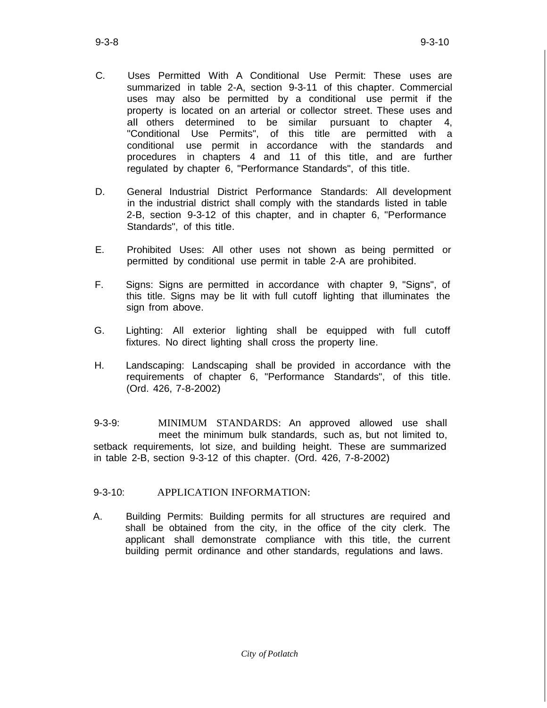- C. Uses Permitted With A Conditional Use Permit: These uses are summarized in table 2-A, section 9-3-11 of this chapter. Commercial uses may also be permitted by a conditional use permit if the property is located on an arterial or collector street. These uses and all others determined to be similar pursuant to chapter 4, "Conditional Use Permits", of this title are permitted with a conditional use permit in accordance with the standards and procedures in chapters 4 and 11 of this title, and are further regulated by chapter 6, "Performance Standards", of this title.
- D. General Industrial District Performance Standards: All development in the industrial district shall comply with the standards listed in table 2-B, section 9-3-12 of this chapter, and in chapter 6, "Performance Standards", of this title.
- E. Prohibited Uses: All other uses not shown as being permitted or permitted by conditional use permit in table 2-A are prohibited.
- F. Signs: Signs are permitted in accordance with chapter 9, "Signs", of this title. Signs may be lit with full cutoff lighting that illuminates the sign from above.
- G. Lighting: All exterior lighting shall be equipped with full cutoff fixtures. No direct lighting shall cross the property line.
- H. Landscaping: Landscaping shall be provided in accordance with the requirements of chapter 6, "Performance Standards", of this title. (Ord. 426, 7-8-2002)

9-3-9: MINIMUM STANDARDS: An approved allowed use shall meet the minimum bulk standards, such as, but not limited to, setback requirements, lot size, and building height. These are summarized in table 2-B, section 9-3-12 of this chapter. (Ord. 426, 7-8-2002)

## 9-3-10: APPLICATION INFORMATION:

A. Building Permits: Building permits for all structures are required and shall be obtained from the city, in the office of the city clerk. The applicant shall demonstrate compliance with this title, the current building permit ordinance and other standards, regulations and laws.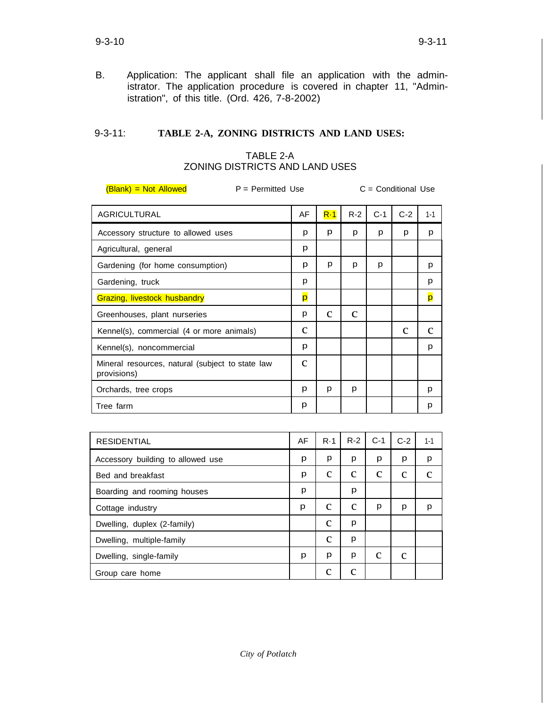B. Application: The applicant shall file an application with the administrator. The application procedure is covered in chapter 11, "Administration", of this title. (Ord. 426, 7-8-2002)

# 9-3-11: **TABLE 2-A, ZONING DISTRICTS AND LAND USES:**

# TABLE 2-A ZONING DISTRICTS AND LAND USES

(Blank) *=* Not Allowed P *=* Permitted Use C = Conditional Use

| <b>AGRICULTURAL</b>                                             | AF           | $R-1$        | $R-2$        | $C-1$        | $C-2$        | $1 - 1$      |
|-----------------------------------------------------------------|--------------|--------------|--------------|--------------|--------------|--------------|
| Accessory structure to allowed uses                             | p            | p            | p            | p            | p            | p            |
| Agricultural, general                                           | p            |              |              |              |              |              |
| Gardening (for home consumption)                                | p            | p            | p            | р            |              | p            |
| Gardening, truck                                                | p            |              |              |              |              | p            |
| Grazing, livestock husbandry                                    | p            |              |              |              |              | p            |
| Greenhouses, plant nurseries                                    | p            | $\mathbf{C}$ | $\mathbf{C}$ |              |              |              |
| Kennel(s), commercial (4 or more animals)                       | $\mathbf{C}$ |              |              |              | $\mathbf{C}$ | $\mathbf c$  |
| Kennel(s), noncommercial                                        | p            |              |              |              |              | p            |
| Mineral resources, natural (subject to state law<br>provisions) | $\mathbf{C}$ |              |              |              |              |              |
| Orchards, tree crops                                            | p            | p            | p            |              |              | p            |
| Tree farm                                                       | p            |              |              |              |              | p            |
|                                                                 |              |              |              |              |              |              |
| <b>RESIDENTIAL</b>                                              | AF           | R·1          | $R-2$        | $C-1$        | $C-2$        | $1 - 1$      |
| Accessory building to allowed use                               | p            | p            | p            | p            | p            | р            |
| Bed and breakfast                                               | p            | $\mathbf{C}$ | $\mathbf c$  | $\mathbf{C}$ | $\mathbf{C}$ | $\mathbf{C}$ |
| Boarding and rooming houses                                     | p            |              | p            |              |              |              |
| Cottage industry                                                | p            | $\mathbf c$  | $\mathbf{C}$ | p            | p            | p            |
| Dwelling, duplex (2-family)                                     |              | $\mathbf{C}$ | p            |              |              |              |
| Dwelling, multiple-family                                       |              | $\mathbf c$  | p            |              |              |              |
| Dwelling, single-family                                         | p            | p            | p            | $\mathbf{C}$ | $\mathbf{C}$ |              |

Group care home c c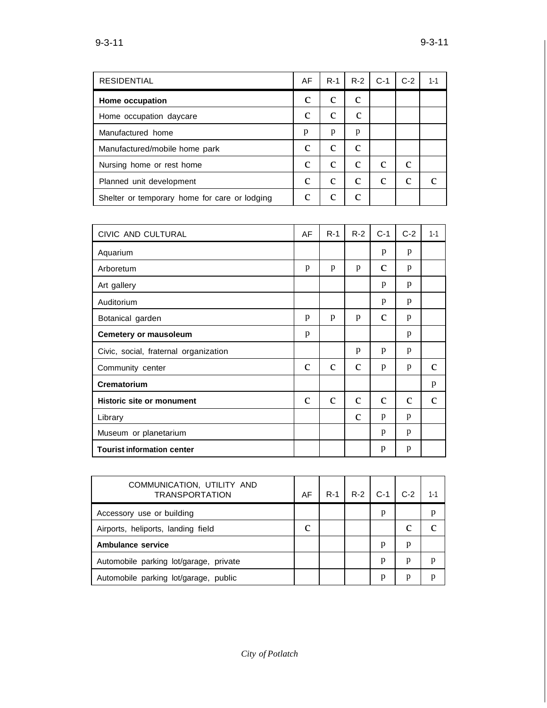| <b>RESIDENTIAL</b>                            | AF          | $R-1$        | $R-2$        | $C-1$       | $C-2$ | 1-1 |
|-----------------------------------------------|-------------|--------------|--------------|-------------|-------|-----|
| Home occupation                               | с           | с            | $\mathbf{C}$ |             |       |     |
| Home occupation daycare                       | $\mathbf c$ | $\mathbf c$  | $\mathbf c$  |             |       |     |
| Manufactured home                             | p           | р            | p            |             |       |     |
| Manufactured/mobile home park                 | $\mathbf c$ | C            | C            |             |       |     |
| Nursing home or rest home                     | C           | C            | $\mathbf c$  | C           | C     |     |
| Planned unit development                      | $\mathbf c$ | $\mathbf{C}$ | $\mathbf c$  | $\mathbf c$ | C     |     |
| Shelter or temporary home for care or lodging | с           |              | С            |             |       |     |

| CIVIC AND CULTURAL                    | AF           | $R-1$        | $R-2$        | $C-1$        | $C-2$       | $1 - 1$      |
|---------------------------------------|--------------|--------------|--------------|--------------|-------------|--------------|
| Aquarium                              |              |              |              | p            | p           |              |
| Arboretum                             | p            | p            | p            | $\mathbf c$  | p           |              |
| Art gallery                           |              |              |              | p            | p           |              |
| Auditorium                            |              |              |              | p            | p           |              |
| Botanical garden                      | p            | p            | p            | $\mathbf{C}$ | p           |              |
| <b>Cemetery or mausoleum</b>          | p            |              |              |              | p           |              |
| Civic, social, fraternal organization |              |              | p            | p            | p           |              |
| Community center                      | $\mathbf{C}$ | $\mathbf{C}$ | $\mathbf{C}$ | p            | p           | $\mathbf c$  |
| Crematorium                           |              |              |              |              |             | p            |
| <b>Historic site or monument</b>      | $\mathbf{C}$ | $\mathbf{C}$ | $\mathbf{C}$ | $\mathbf{C}$ | $\mathbf c$ | $\mathbf{C}$ |
| Library                               |              |              | $\mathbf{C}$ | p            | p           |              |
| Museum or planetarium                 |              |              |              | p            | p           |              |
| <b>Tourist information center</b>     |              |              |              | p            | p           |              |

| COMMUNICATION, UTILITY AND<br><b>TRANSPORTATION</b> | AF | $R-1$ | $R-2$ | $C-1$ | $C-2$ | $1 - 1$ |
|-----------------------------------------------------|----|-------|-------|-------|-------|---------|
| Accessory use or building                           |    |       |       | p     |       | р       |
| Airports, heliports, landing field                  | с  |       |       |       |       |         |
| <b>Ambulance service</b>                            |    |       |       | p     | р     |         |
| Automobile parking lot/garage, private              |    |       |       | p     | р     |         |
| Automobile parking lot/garage, public               |    |       |       | p     |       |         |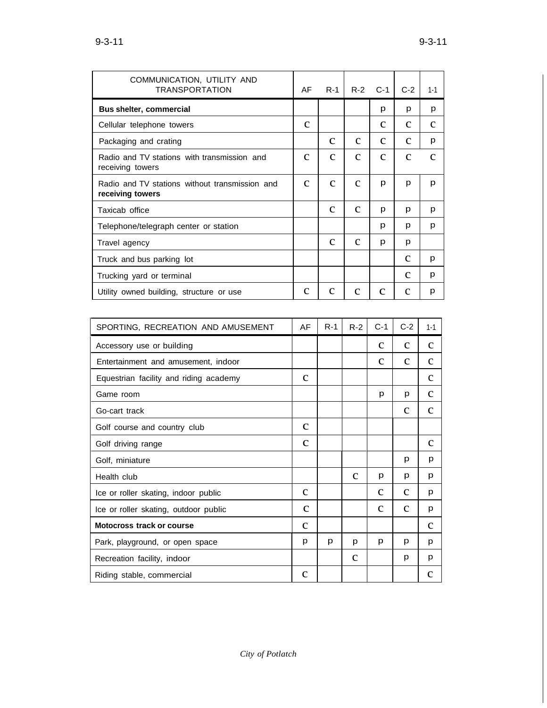| COMMUNICATION, UTILITY AND<br><b>TRANSPORTATION</b>                | AF           | R-1          | $R-2$        | $C-1$        | $C-2$        | $1 - 1$      |
|--------------------------------------------------------------------|--------------|--------------|--------------|--------------|--------------|--------------|
| Bus shelter, commercial                                            |              |              |              | p            | p            | p            |
| Cellular telephone towers                                          | $\mathbf c$  |              |              | $\mathbf c$  | $\mathbf{C}$ | $\mathbf{C}$ |
| Packaging and crating                                              |              | $\mathbf{C}$ | $\mathbf c$  | $\mathbf c$  | $\mathbf{C}$ | p            |
| Radio and TV stations with transmission and<br>receiving towers    | с            | с            | с            | с            | $\mathbf c$  | C            |
| Radio and TV stations without transmission and<br>receiving towers | $\mathbf c$  | $\mathbf c$  | $\mathbf{C}$ | p            | p            | p            |
| Taxicab office                                                     |              | $\mathbf{C}$ | $\mathbf{C}$ | p            | р            | p            |
| Telephone/telegraph center or station                              |              |              |              | р            | p            | p            |
| Travel agency                                                      |              | $\mathbf c$  | $\mathbf{C}$ | p            | p            |              |
| Truck and bus parking lot                                          |              |              |              |              | $\mathbf{C}$ | p            |
| Trucking yard or terminal                                          |              |              |              |              | C            | p            |
| Utility owned building, structure or use                           | $\mathbf{C}$ | $\mathbf{C}$ | $\mathbf{C}$ | $\mathbf{C}$ | $\mathbf{C}$ | p            |
|                                                                    |              |              |              |              |              |              |
| SPORTING, RECREATION AND AMUSEMENT                                 | AF           | R-1          | $R-2$        | $C-1$        | $C-2$        | $1 - 1$      |
| Accessory use or building                                          |              |              |              | $\mathbf{C}$ | $\mathbf{C}$ | $\mathbf c$  |
| Entertainment and amusement, indoor                                |              |              |              | с            | $\mathbf{C}$ | с            |
| Equestrian facility and riding academy                             | C            |              |              |              |              | c            |
| Game room                                                          |              |              |              | p            | p            | $\mathbf c$  |
| Go-cart track                                                      |              |              |              |              | $\mathbf c$  | $\mathbf{C}$ |
| Golf course and country club                                       | $\mathbf{C}$ |              |              |              |              |              |
| Golf driving range                                                 | $\mathbf{C}$ |              |              |              |              | $\mathbf{C}$ |
| Golf, miniature                                                    |              |              |              |              | p            | p            |
| Health club                                                        |              |              | $\mathbf C$  | p            | p            | p            |
| Ice or roller skating, indoor public                               | $\mathbf c$  |              |              | $\mathbf{C}$ | $\mathbf{C}$ | p            |
| Ice or roller skating, outdoor public                              | $\mathbf{C}$ |              |              | $\mathbf{C}$ | $\mathbf{C}$ | p            |
| Motocross track or course                                          | $\mathbf C$  |              |              |              |              | $\mathbf{C}$ |
| Park, playground, or open space                                    | p            | p            | p            | p            | p            | p            |
| Recreation facility, indoor                                        |              |              | $\mathbf{C}$ |              | p            | p            |
| Riding stable, commercial                                          | $\mathbf c$  |              |              |              |              | $\mathbf c$  |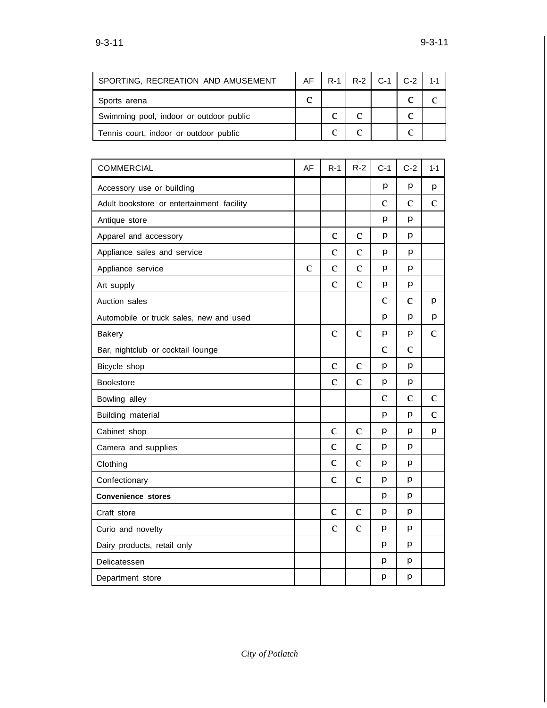| SPORTING, RECREATION AND AMUSEMENT      |   |  | AF   R-1   R-2   C-1   C-2 |   | $1 - 1$ |
|-----------------------------------------|---|--|----------------------------|---|---------|
| Sports arena                            | с |  |                            |   |         |
| Swimming pool, indoor or outdoor public |   |  |                            | с |         |
| Tennis court, indoor or outdoor public  |   |  |                            |   |         |

| <b>COMMERCIAL</b>                         | AF          | $R-1$        | $R-2$        | $C-1$        | $C-2$        | $1 - 1$      |
|-------------------------------------------|-------------|--------------|--------------|--------------|--------------|--------------|
| Accessory use or building                 |             |              |              | p            | р            | p            |
| Adult bookstore or entertainment facility |             |              |              | $\mathbf{C}$ | $\mathbf{C}$ | $\mathbf{C}$ |
| Antique store                             |             |              |              | p            | p            |              |
| Apparel and accessory                     |             | $\mathbf{C}$ | $\mathbf{C}$ | p            | p            |              |
| Appliance sales and service               |             | $\mathbf{C}$ | $\mathbf{C}$ | p            | р            |              |
| Appliance service                         | $\mathbf c$ | $\mathbf{C}$ | $\mathbf{C}$ | p            | p            |              |
| Art supply                                |             | $\mathbf c$  | $\mathbf c$  | p            | p            |              |
| Auction sales                             |             |              |              | $\mathbf c$  | $\mathbf c$  | p            |
| Automobile or truck sales, new and used   |             |              |              | p            | p            | p            |
| <b>Bakery</b>                             |             | $\mathbf c$  | $\mathbf{C}$ | p            | p            | $\mathbf{C}$ |
| Bar, nightclub or cocktail lounge         |             |              |              | $\mathbf C$  | $\mathbf{C}$ |              |
| Bicycle shop                              |             | $\mathbf{C}$ | $\mathbf{C}$ | р            | p            |              |
| Bookstore                                 |             | $\mathbf{C}$ | $\mathbf{C}$ | р            | p            |              |
| Bowling alley                             |             |              |              | $\mathbf{C}$ | $\mathbf{C}$ | $\mathbf c$  |
| Building material                         |             |              |              | р            | p            | $\mathbf{C}$ |
| Cabinet shop                              |             | $\mathbf c$  | $\mathbf C$  | p            | p            | p            |
| Camera and supplies                       |             | $\mathbf c$  | $\mathbf{C}$ | p            | p            |              |
| Clothing                                  |             | $\mathbf c$  | $\mathbf{C}$ | р            | р            |              |
| Confectionary                             |             | $\mathbf{C}$ | $\mathbf{C}$ | р            | р            |              |
| Convenience stores                        |             |              |              | р            | p            |              |
| Craft store                               |             | $\mathbf c$  | $\mathbf c$  | p            | p            |              |
| Curio and novelty                         |             | $\mathbf C$  | $\mathbf{C}$ | p            | p            |              |
| Dairy products, retail only               |             |              |              | p            | р            |              |
| Delicatessen                              |             |              |              | р            | p            |              |
| Department store                          |             |              |              | р            | p            |              |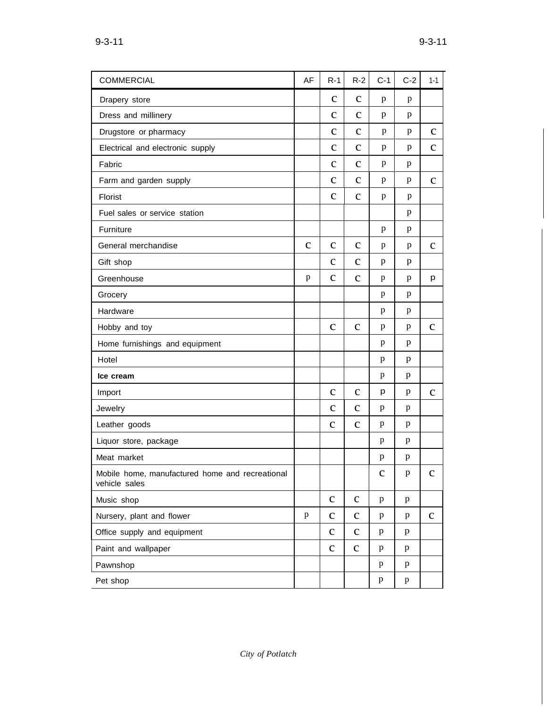| <b>COMMERCIAL</b>                                                | AF           | $R-1$        | $R-2$        | $C-1$        | $C-2$        | $1 - 1$      |
|------------------------------------------------------------------|--------------|--------------|--------------|--------------|--------------|--------------|
| Drapery store                                                    |              | $\mathbf c$  | $\mathbf{C}$ | p            | p            |              |
| Dress and millinery                                              |              | $\mathbf c$  | $\mathbf c$  | p            | p            |              |
| Drugstore or pharmacy                                            |              | $\mathbf c$  | $\mathbf c$  | p            | p            | $\mathbf c$  |
| Electrical and electronic supply                                 |              | $\mathbf c$  | $\mathbf c$  | p            | p            | $\mathbf c$  |
| Fabric                                                           |              | $\mathbf{C}$ | $\mathbf{C}$ | p            | p            |              |
| Farm and garden supply                                           |              | $\mathbf{C}$ | $\mathbf{C}$ | p            | p            | $\mathbf{C}$ |
| Florist                                                          |              | $\mathbf c$  | $\mathbf{C}$ | p            | p            |              |
| Fuel sales or service station                                    |              |              |              |              | p            |              |
| Furniture                                                        |              |              |              | p            | p            |              |
| General merchandise                                              | $\mathbf c$  | $\mathbf c$  | $\mathbf c$  | p            | p            | $\mathbf c$  |
| Gift shop                                                        |              | $\mathbf{C}$ | $\mathbf{C}$ | p            | p            |              |
| Greenhouse                                                       | p            | $\mathbf{C}$ | $\mathbf{C}$ | p            | p            | p            |
| Grocery                                                          |              |              |              | p            | p            |              |
| Hardware                                                         |              |              |              | p            | p            |              |
| Hobby and toy                                                    |              | $\mathbf c$  | $\mathbf{C}$ | p            | p            | $\mathbf c$  |
| Home furnishings and equipment                                   |              |              |              | p            | p            |              |
| Hotel                                                            |              |              |              | p            | p            |              |
| Ice cream                                                        |              |              |              | p            | p            |              |
| Import                                                           |              | $\mathbf{C}$ | $\mathbf{C}$ | p            | p            | $\mathbf{C}$ |
| Jewelry                                                          |              | $\mathbf{C}$ | $\mathbf c$  | p            | p            |              |
| Leather goods                                                    |              | $\mathbf{C}$ | $\mathbf c$  | p            | p            |              |
| Liquor store, package                                            |              |              |              | p            | p            |              |
| Meat market                                                      |              |              |              | p            | p            |              |
| Mobile home, manufactured home and recreational<br>vehicle sales |              |              |              | $\mathbf C$  | $\, {\bf p}$ | $\mathbf c$  |
| Music shop                                                       |              | $\mathbf{C}$ | $\mathbf{C}$ | $\, {\bf p}$ | $\, {\bf p}$ |              |
| Nursery, plant and flower                                        | $\, {\bf p}$ | $\mathbf C$  | $\mathbf c$  | p            | p            | $\mathbf{C}$ |
| Office supply and equipment                                      |              | $\mathbf{C}$ | $\mathbf{C}$ | p            | $\mathbf{p}$ |              |
| Paint and wallpaper                                              |              | $\mathbf{C}$ | $\mathbf C$  | $\mathbf{p}$ | p            |              |
| Pawnshop                                                         |              |              |              | $\mathbf{p}$ | p            |              |
| Pet shop                                                         |              |              |              | p            | p            |              |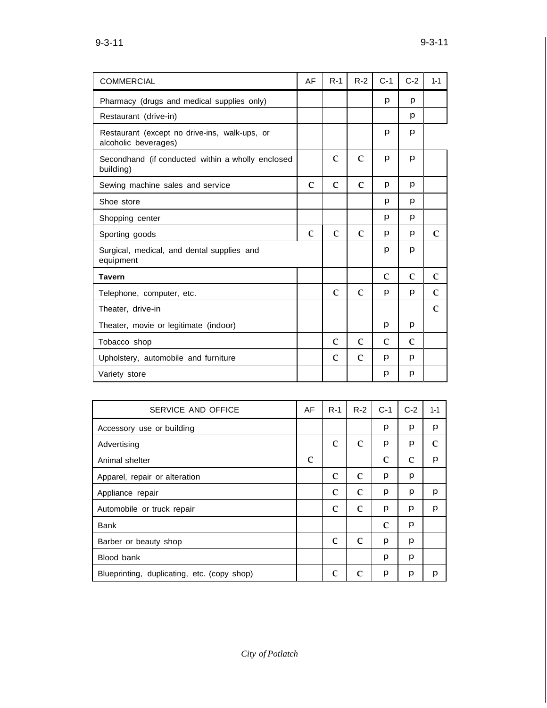| $9 - 3 - 11$ |
|--------------|
|              |

| <b>COMMERCIAL</b>                                                     | AF           | $R-1$        | $R-2$        | $C-1$        | $C-2$        | $1 - 1$      |
|-----------------------------------------------------------------------|--------------|--------------|--------------|--------------|--------------|--------------|
| Pharmacy (drugs and medical supplies only)                            |              |              |              | p            | р            |              |
| Restaurant (drive-in)                                                 |              |              |              |              | р            |              |
| Restaurant (except no drive-ins, walk-ups, or<br>alcoholic beverages) |              |              |              | p            | p            |              |
| Secondhand (if conducted within a wholly enclosed<br>building)        |              | $\mathbf{C}$ | $\mathbf{C}$ | p            | р            |              |
| Sewing machine sales and service                                      | $\mathbf{C}$ | $\mathbf{C}$ | $\mathbf{C}$ | р            | р            |              |
| Shoe store                                                            |              |              |              | р            | р            |              |
| Shopping center                                                       |              |              |              | p            | р            |              |
| Sporting goods                                                        | $\mathbf{C}$ | $\mathbf{C}$ | $\mathbf{C}$ | p            | p            | $\mathbf{C}$ |
| Surgical, medical, and dental supplies and<br>equipment               |              |              |              | p            | p            |              |
| <b>Tavern</b>                                                         |              |              |              | $\mathbf{C}$ | $\mathbf{C}$ | $\mathbf{C}$ |
| Telephone, computer, etc.                                             |              | $\mathbf{C}$ | $\mathbf{C}$ | p            | p            | $\mathbf{C}$ |
| Theater, drive-in                                                     |              |              |              |              |              | $\mathbf{C}$ |
| Theater, movie or legitimate (indoor)                                 |              |              |              | р            | р            |              |
| Tobacco shop                                                          |              | $\mathbf{C}$ | $\mathbf c$  | $\mathbf c$  | $\mathbf{C}$ |              |
| Upholstery, automobile and furniture                                  |              | $\mathbf{C}$ | $\mathbf{C}$ | р            | р            |              |
| Variety store                                                         |              |              |              | р            | р            |              |

| SERVICE AND OFFICE                          | AF          | $R-1$       | $R-2$       | $C-1$       | $C-2$       | $1 - 1$ |
|---------------------------------------------|-------------|-------------|-------------|-------------|-------------|---------|
| Accessory use or building                   |             |             |             | p           | р           | p       |
| Advertising                                 |             | $\mathbf c$ | $\mathbf c$ | p           | p           | с       |
| Animal shelter                              | $\mathbf c$ |             |             | $\mathbf c$ | $\mathbf c$ | p       |
| Apparel, repair or alteration               |             | $\mathbf c$ | $\mathbf c$ | р           | р           |         |
| Appliance repair                            |             | $\mathbf c$ | $\mathbf c$ | р           | р           | p       |
| Automobile or truck repair                  |             | $\mathbf c$ | $\mathbf c$ | p           | р           | p       |
| <b>Bank</b>                                 |             |             |             | $\mathbf c$ | р           |         |
| Barber or beauty shop                       |             | C           | $\mathbf c$ | р           | p           |         |
| Blood bank                                  |             |             |             | р           | p           |         |
| Blueprinting, duplicating, etc. (copy shop) |             | $\mathbf c$ | $\mathbf c$ | р           | р           | p       |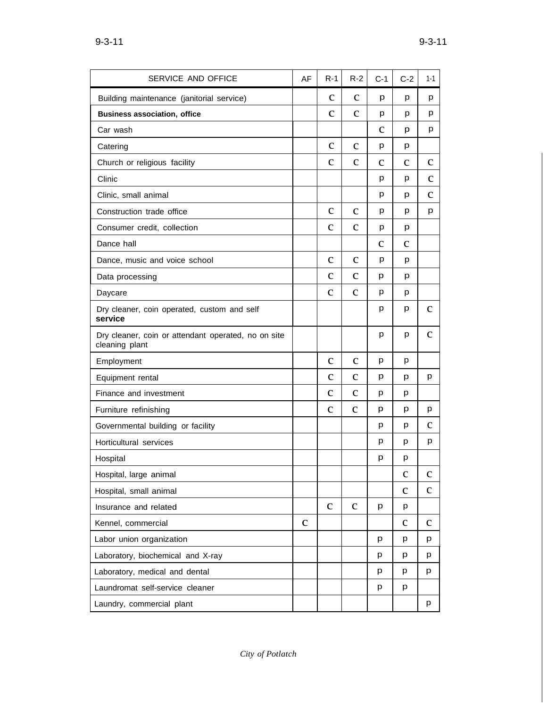| SERVICE AND OFFICE                                                    | AF           | $R-1$        | $R-2$        | $C-1$       | $C-2$        | 1-1          |
|-----------------------------------------------------------------------|--------------|--------------|--------------|-------------|--------------|--------------|
| Building maintenance (janitorial service)                             |              | $\mathbf{C}$ | $\mathbf{C}$ | p           | p            | p            |
| <b>Business association, office</b>                                   |              | $\mathbf c$  | $\mathbf{C}$ | p           | p            | p            |
| Car wash                                                              |              |              |              | с           | р            | p            |
| Catering                                                              |              | $\mathbf c$  | $\mathbf c$  | p           | р            |              |
| Church or religious facility                                          |              | $\mathbf c$  | $\mathbf{C}$ | $\mathbf c$ | $\mathbf{C}$ | $\mathbf{C}$ |
| Clinic                                                                |              |              |              | р           | р            | $\mathbf{C}$ |
| Clinic, small animal                                                  |              |              |              | р           | р            | C            |
| Construction trade office                                             |              | $\mathbf c$  | $\mathbf c$  | p           | р            | p            |
| Consumer credit, collection                                           |              | C            | $\mathbf{C}$ | p           | р            |              |
| Dance hall                                                            |              |              |              | $\mathbf c$ | $\mathbf c$  |              |
| Dance, music and voice school                                         |              | $\mathbf c$  | $\mathbf c$  | p           | р            |              |
| Data processing                                                       |              | $\mathbf{C}$ | $\mathbf{C}$ | р           | р            |              |
| Daycare                                                               |              | $\mathbf{C}$ | $\mathbf{C}$ | р           | р            |              |
| Dry cleaner, coin operated, custom and self<br>service                |              |              |              | р           | р            | C            |
| Dry cleaner, coin or attendant operated, no on site<br>cleaning plant |              |              |              | р           | p            | $\mathbf c$  |
| Employment                                                            |              | $\mathbf{C}$ | $\mathbf{C}$ | p           | р            |              |
| Equipment rental                                                      |              | $\mathbf{C}$ | $\mathbf{C}$ | р           | p            | p            |
| Finance and investment                                                |              | $\mathbf{C}$ | $\mathbf{C}$ | р           | р            |              |
| Furniture refinishing                                                 |              | $\mathbf{C}$ | $\mathbf{C}$ | р           | p            | p            |
| Governmental building or facility                                     |              |              |              | р           | p            | с            |
| Horticultural services                                                |              |              |              | p           | р            | p            |
| Hospital                                                              |              |              |              | р           | p            |              |
| Hospital, large animal                                                |              |              |              |             | $\mathbf c$  | $\mathbf c$  |
| Hospital, small animal                                                |              |              |              |             | $\mathbf{C}$ | $\mathbf c$  |
| Insurance and related                                                 |              | $\mathbf{C}$ | $\mathbf{C}$ | p           | p            |              |
| Kennel, commercial                                                    | $\mathbf{C}$ |              |              |             | $\mathbf{C}$ | $\mathbf c$  |
| Labor union organization                                              |              |              |              | p           | p            | p            |
| Laboratory, biochemical and X-ray                                     |              |              |              | p           | p            | p            |
| Laboratory, medical and dental                                        |              |              |              | p           | p            | p            |
| Laundromat self-service cleaner                                       |              |              |              | p           | p            |              |
| Laundry, commercial plant                                             |              |              |              |             |              | p            |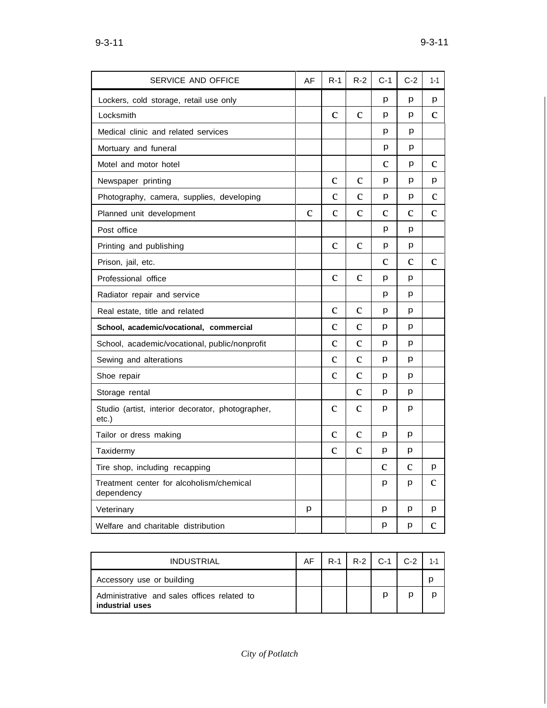| SERVICE AND OFFICE                                         | AF           | $R-1$        | $R-2$        | $C-1$       | $C-2$        | $1 - 1$      |
|------------------------------------------------------------|--------------|--------------|--------------|-------------|--------------|--------------|
| Lockers, cold storage, retail use only                     |              |              |              | р           | р            | p            |
| Locksmith                                                  |              | $\mathbf C$  | $\mathbf{C}$ | p           | p            | $\mathbf{C}$ |
| Medical clinic and related services                        |              |              |              | р           | p            |              |
| Mortuary and funeral                                       |              |              |              | p           | p            |              |
| Motel and motor hotel                                      |              |              |              | $\mathbf c$ | p            | $\mathbf c$  |
| Newspaper printing                                         |              | $\mathbf c$  | $\mathbf c$  | р           | р            | p            |
| Photography, camera, supplies, developing                  |              | $\mathbf c$  | $\mathbf{C}$ | р           | p            | $\mathbf c$  |
| Planned unit development                                   | $\mathbf{C}$ | $\mathbf{C}$ | $\mathbf{C}$ | $\mathbf c$ | $\mathbf{C}$ | $\mathbf{C}$ |
| Post office                                                |              |              |              | p           | p            |              |
| Printing and publishing                                    |              | $\mathbf c$  | $\mathbf c$  | p           | p            |              |
| Prison, jail, etc.                                         |              |              |              | $\mathbf c$ | $\mathbf c$  | $\mathbf{C}$ |
| Professional office                                        |              | $\mathbf c$  | $\mathbf c$  | p           | p            |              |
| Radiator repair and service                                |              |              |              | р           | p            |              |
| Real estate, title and related                             |              | $\mathbf{C}$ | $\mathbf c$  | р           | р            |              |
| School, academic/vocational, commercial                    |              | $\mathbf c$  | $\mathbf c$  | p           | p            |              |
| School, academic/vocational, public/nonprofit              |              | $\mathbf c$  | $\mathbf{C}$ | р           | р            |              |
| Sewing and alterations                                     |              | $\mathbf c$  | $\mathbf{C}$ | р           | p            |              |
| Shoe repair                                                |              | $\mathbf c$  | $\mathbf c$  | р           | p            |              |
| Storage rental                                             |              |              | $\mathbf c$  | р           | p            |              |
| Studio (artist, interior decorator, photographer,<br>etc.) |              | $\mathbf c$  | $\mathbf c$  | р           | p            |              |
| Tailor or dress making                                     |              | $\mathbf c$  | $\mathbf c$  | р           | p            |              |
| Taxidermy                                                  |              | $\mathbf{C}$ | $\mathbf c$  | р           | p            |              |
| Tire shop, including recapping                             |              |              |              | C           | $\mathbf{C}$ | p            |
| Treatment center for alcoholism/chemical<br>dependency     |              |              |              | p           | p            | $\mathbf{C}$ |
| Veterinary                                                 | p            |              |              | p           | p            | p            |
| Welfare and charitable distribution                        |              |              |              | р           | р            | $\mathbf c$  |

| <b>INDUSTRIAL</b>                                              | AF. |  | $R-1$   $R-2$   $C-1$   $C-2$ | $1 - 1$ |
|----------------------------------------------------------------|-----|--|-------------------------------|---------|
| Accessory use or building                                      |     |  |                               |         |
| Administrative and sales offices related to<br>industrial uses |     |  | D                             |         |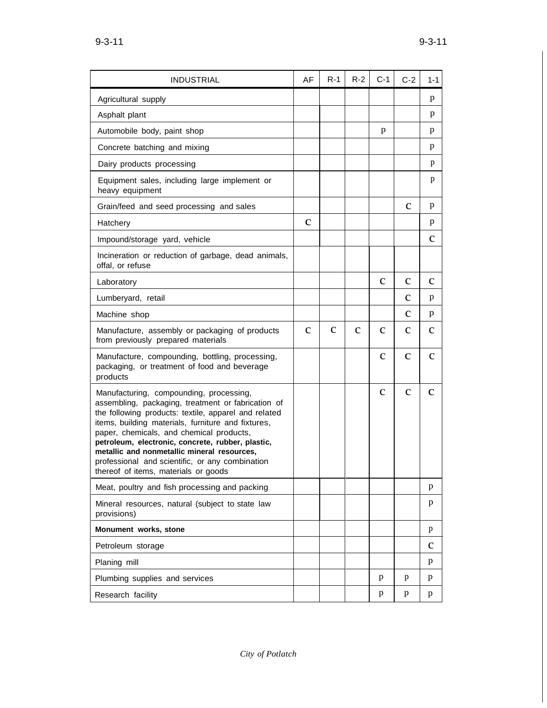| <b>INDUSTRIAL</b>                                                                                                                                                                                                                                                                                                                                                                                                                                      | AF           | $R-1$       | $R-2$       | $C-1$        | $C-2$        | 1-1          |
|--------------------------------------------------------------------------------------------------------------------------------------------------------------------------------------------------------------------------------------------------------------------------------------------------------------------------------------------------------------------------------------------------------------------------------------------------------|--------------|-------------|-------------|--------------|--------------|--------------|
| Agricultural supply                                                                                                                                                                                                                                                                                                                                                                                                                                    |              |             |             |              |              | p            |
| Asphalt plant                                                                                                                                                                                                                                                                                                                                                                                                                                          |              |             |             |              |              | p            |
| Automobile body, paint shop                                                                                                                                                                                                                                                                                                                                                                                                                            |              |             |             | p            |              | p            |
| Concrete batching and mixing                                                                                                                                                                                                                                                                                                                                                                                                                           |              |             |             |              |              | p            |
| Dairy products processing                                                                                                                                                                                                                                                                                                                                                                                                                              |              |             |             |              |              | p            |
| Equipment sales, including large implement or<br>heavy equipment                                                                                                                                                                                                                                                                                                                                                                                       |              |             |             |              |              | p            |
| Grain/feed and seed processing and sales                                                                                                                                                                                                                                                                                                                                                                                                               |              |             |             |              | $\mathbf{C}$ | p            |
| Hatchery                                                                                                                                                                                                                                                                                                                                                                                                                                               | $\mathbf{C}$ |             |             |              |              | p            |
| Impound/storage yard, vehicle                                                                                                                                                                                                                                                                                                                                                                                                                          |              |             |             |              |              | $\mathbf c$  |
| Incineration or reduction of garbage, dead animals,<br>offal, or refuse                                                                                                                                                                                                                                                                                                                                                                                |              |             |             |              |              |              |
| Laboratory                                                                                                                                                                                                                                                                                                                                                                                                                                             |              |             |             | $\mathbf c$  | $\mathbf{C}$ | $\mathbf{C}$ |
| Lumberyard, retail                                                                                                                                                                                                                                                                                                                                                                                                                                     |              |             |             |              | $\mathbf c$  | p            |
| Machine shop                                                                                                                                                                                                                                                                                                                                                                                                                                           |              |             |             |              | $\mathbf{C}$ | p            |
| Manufacture, assembly or packaging of products<br>from previously prepared materials                                                                                                                                                                                                                                                                                                                                                                   | $\mathbf c$  | $\mathbf c$ | $\mathbf c$ | $\mathbf c$  | с            | C            |
| Manufacture, compounding, bottling, processing,<br>packaging, or treatment of food and beverage<br>products                                                                                                                                                                                                                                                                                                                                            |              |             |             | $\mathbf{C}$ | $\mathbf c$  | $\mathbf c$  |
| Manufacturing, compounding, processing,<br>assembling, packaging, treatment or fabrication of<br>the following products: textile, apparel and related<br>items, building materials, furniture and fixtures,<br>paper, chemicals, and chemical products,<br>petroleum, electronic, concrete, rubber, plastic,<br>metallic and nonmetallic mineral resources,<br>professional and scientific, or any combination<br>thereof of items, materials or goods |              |             |             | $\mathbf{C}$ | $\mathbf{C}$ | $\mathbf{C}$ |
| Meat, poultry and fish processing and packing                                                                                                                                                                                                                                                                                                                                                                                                          |              |             |             |              |              | p            |
| Mineral resources, natural (subject to state law<br>provisions)                                                                                                                                                                                                                                                                                                                                                                                        |              |             |             |              |              | p            |
| Monument works, stone                                                                                                                                                                                                                                                                                                                                                                                                                                  |              |             |             |              |              | p            |
| Petroleum storage                                                                                                                                                                                                                                                                                                                                                                                                                                      |              |             |             |              |              | C            |
| Planing mill                                                                                                                                                                                                                                                                                                                                                                                                                                           |              |             |             |              |              | p            |
| Plumbing supplies and services                                                                                                                                                                                                                                                                                                                                                                                                                         |              |             |             | p            | p            | p            |
| Research facility                                                                                                                                                                                                                                                                                                                                                                                                                                      |              |             |             | p            | p            | p            |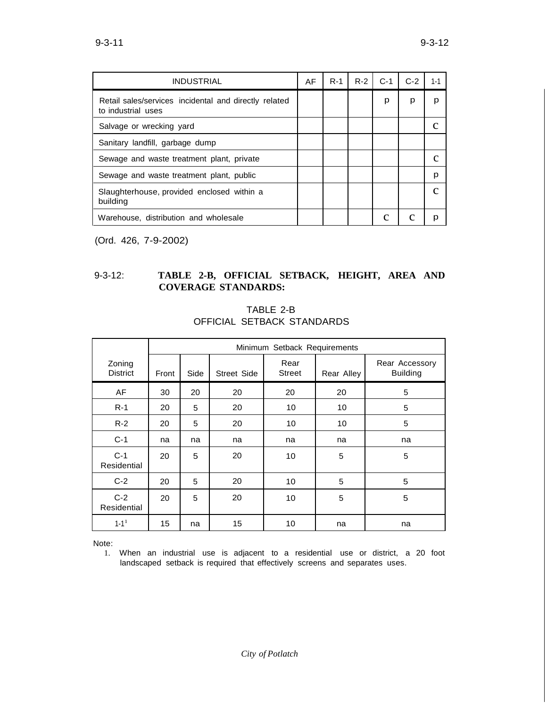| <b>INDUSTRIAL</b>                                                           | AF | $R-1$ | $R-2$ | $C-1$ | $C-2$ | $1 - 1$ |
|-----------------------------------------------------------------------------|----|-------|-------|-------|-------|---------|
| Retail sales/services incidental and directly related<br>to industrial uses |    |       |       | р     | p     | р       |
| Salvage or wrecking yard                                                    |    |       |       |       |       |         |
| Sanitary landfill, garbage dump                                             |    |       |       |       |       |         |
| Sewage and waste treatment plant, private                                   |    |       |       |       |       |         |
| Sewage and waste treatment plant, public                                    |    |       |       |       |       | р       |
| Slaughterhouse, provided enclosed within a<br>building                      |    |       |       |       |       |         |
| Warehouse, distribution and wholesale                                       |    |       |       |       |       |         |

(Ord. 426, 7-9-2002)

## 9-3-12: **TABLE 2-B, OFFICIAL SETBACK, HEIGHT, AREA AND COVERAGE STANDARDS:**

|                           | Minimum Setback Requirements |      |                    |                       |            |                                   |  |  |  |
|---------------------------|------------------------------|------|--------------------|-----------------------|------------|-----------------------------------|--|--|--|
| Zoning<br><b>District</b> | Front                        | Side | <b>Street Side</b> | Rear<br><b>Street</b> | Rear Alley | Rear Accessory<br><b>Building</b> |  |  |  |
| AF                        | 30                           | 20   | 20                 | 20                    | 20         | 5                                 |  |  |  |
| $R-1$                     | 20                           | 5    | 20                 | 10                    | 10         | 5                                 |  |  |  |
| $R-2$                     | 20                           | 5    | 20                 | 10                    | 10         | 5                                 |  |  |  |
| $C-1$                     | na                           | na   | na                 | na                    | na         | na                                |  |  |  |
| $C-1$<br>Residential      | 20                           | 5    | 20                 | 10                    | 5          | 5                                 |  |  |  |
| $C-2$                     | 20                           | 5    | 20                 | 10                    | 5          | 5                                 |  |  |  |
| $C-2$<br>Residential      | 20                           | 5    | 20                 | 10                    | 5          | 5                                 |  |  |  |
| $1 - 11$                  | 15                           | na   | 15                 | 10                    | na         | na                                |  |  |  |

TABLE 2-B OFFICIAL SETBACK STANDARDS

Note:

1. When an industrial use is adjacent to a residential use or district, a 20 foot landscaped setback is required that effectively screens and separates uses.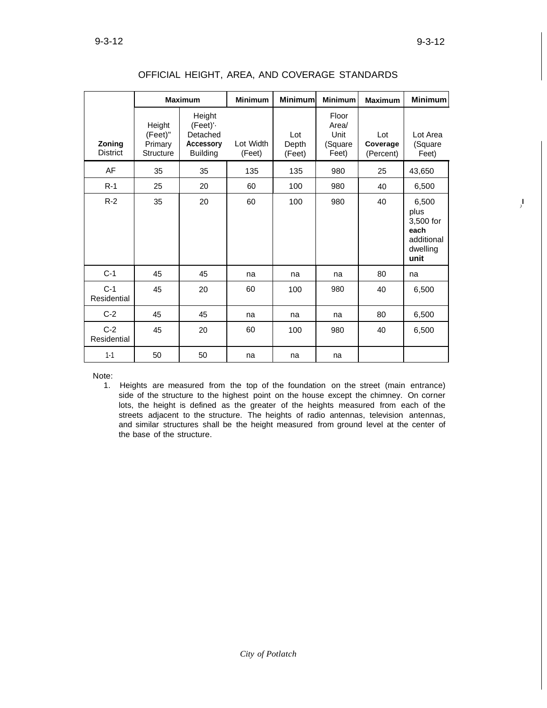I *)*

|                           |                                                  | <b>Maximum</b>                                                        | <b>Minimum</b>      | <b>Minimum</b>         | <b>Minimum</b>                             | <b>Maximum</b>               | <b>Minimum</b>                                                       |
|---------------------------|--------------------------------------------------|-----------------------------------------------------------------------|---------------------|------------------------|--------------------------------------------|------------------------------|----------------------------------------------------------------------|
| Zoning<br><b>District</b> | Height<br>(Feet)"<br>Primary<br><b>Structure</b> | Height<br>(Feet)'-<br>Detached<br><b>Accessory</b><br><b>Building</b> | Lot Width<br>(Feet) | Lot<br>Depth<br>(Feet) | Floor<br>Area/<br>Unit<br>(Square<br>Feet) | Lot<br>Coverage<br>(Percent) | Lot Area<br>(Square<br>Feet)                                         |
| AF                        | 35                                               | 35                                                                    | 135                 | 135                    | 980                                        | 25                           | 43,650                                                               |
| $R-1$                     | 25                                               | 20                                                                    | 60                  | 100                    | 980                                        | 40                           | 6,500                                                                |
| $R-2$                     | 35                                               | 20                                                                    | 60                  | 100                    | 980                                        | 40                           | 6,500<br>plus<br>3,500 for<br>each<br>additional<br>dwelling<br>unit |
| $C-1$                     | 45                                               | 45                                                                    | na                  | na                     | na                                         | 80                           | na                                                                   |
| $C-1$<br>Residential      | 45                                               | 20                                                                    | 60                  | 100                    | 980                                        | 40                           | 6,500                                                                |
| $C-2$                     | 45                                               | 45                                                                    | na                  | na                     | na                                         | 80                           | 6,500                                                                |
| $C-2$<br>Residential      | 45                                               | 20                                                                    | 60                  | 100                    | 980                                        | 40                           | 6,500                                                                |
| $1 - 1$                   | 50                                               | 50                                                                    | na                  | na                     | na                                         |                              |                                                                      |

| OFFICIAL HEIGHT, AREA, AND COVERAGE STANDARDS |  |  |  |  |
|-----------------------------------------------|--|--|--|--|
|-----------------------------------------------|--|--|--|--|

Note:

1. Heights are measured from the top of the foundation on the street (main entrance) side of the structure to the highest point on the house except the chimney. On corner lots, the height is defined as the greater of the heights measured from each of the streets adjacent to the structure. The heights of radio antennas, television antennas, and similar structures shall be the height measured from ground level at the center of the base of the structure.